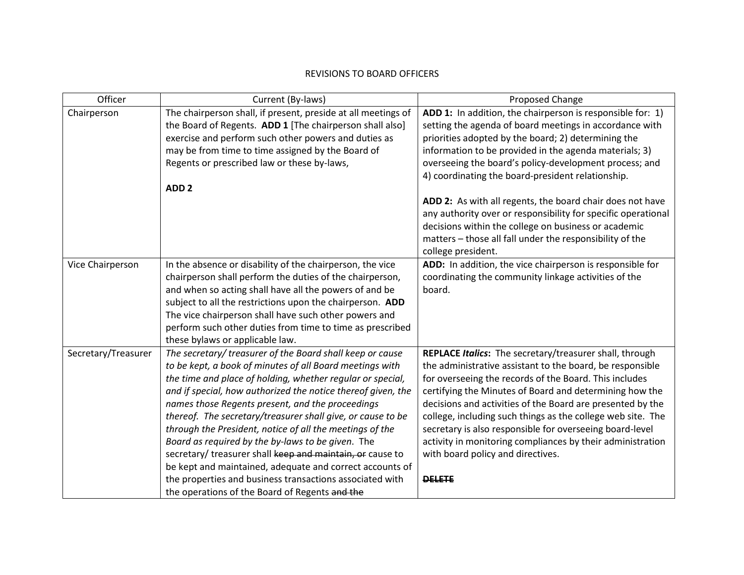## REVISIONS TO BOARD OFFICERS

| Officer             | Current (By-laws)                                                                                                                                                                                                                                                                                                                                                                                                                                                                                                                                                                                                                                                            | Proposed Change                                                                                                                                                                                                                                                                                                                                                                                                                                                                                                                                        |
|---------------------|------------------------------------------------------------------------------------------------------------------------------------------------------------------------------------------------------------------------------------------------------------------------------------------------------------------------------------------------------------------------------------------------------------------------------------------------------------------------------------------------------------------------------------------------------------------------------------------------------------------------------------------------------------------------------|--------------------------------------------------------------------------------------------------------------------------------------------------------------------------------------------------------------------------------------------------------------------------------------------------------------------------------------------------------------------------------------------------------------------------------------------------------------------------------------------------------------------------------------------------------|
| Chairperson         | The chairperson shall, if present, preside at all meetings of<br>the Board of Regents. ADD 1 [The chairperson shall also]<br>exercise and perform such other powers and duties as<br>may be from time to time assigned by the Board of<br>Regents or prescribed law or these by-laws,<br>ADD <sub>2</sub>                                                                                                                                                                                                                                                                                                                                                                    | ADD 1: In addition, the chairperson is responsible for: 1)<br>setting the agenda of board meetings in accordance with<br>priorities adopted by the board; 2) determining the<br>information to be provided in the agenda materials; 3)<br>overseeing the board's policy-development process; and<br>4) coordinating the board-president relationship.                                                                                                                                                                                                  |
|                     |                                                                                                                                                                                                                                                                                                                                                                                                                                                                                                                                                                                                                                                                              | ADD 2: As with all regents, the board chair does not have<br>any authority over or responsibility for specific operational<br>decisions within the college on business or academic<br>matters - those all fall under the responsibility of the<br>college president.                                                                                                                                                                                                                                                                                   |
| Vice Chairperson    | In the absence or disability of the chairperson, the vice<br>chairperson shall perform the duties of the chairperson,<br>and when so acting shall have all the powers of and be<br>subject to all the restrictions upon the chairperson. ADD<br>The vice chairperson shall have such other powers and<br>perform such other duties from time to time as prescribed<br>these bylaws or applicable law.                                                                                                                                                                                                                                                                        | ADD: In addition, the vice chairperson is responsible for<br>coordinating the community linkage activities of the<br>board.                                                                                                                                                                                                                                                                                                                                                                                                                            |
| Secretary/Treasurer | The secretary/ treasurer of the Board shall keep or cause<br>to be kept, a book of minutes of all Board meetings with<br>the time and place of holding, whether regular or special,<br>and if special, how authorized the notice thereof given, the<br>names those Regents present, and the proceedings<br>thereof. The secretary/treasurer shall give, or cause to be<br>through the President, notice of all the meetings of the<br>Board as required by the by-laws to be given. The<br>secretary/ treasurer shall keep and maintain, or cause to<br>be kept and maintained, adequate and correct accounts of<br>the properties and business transactions associated with | REPLACE Italics: The secretary/treasurer shall, through<br>the administrative assistant to the board, be responsible<br>for overseeing the records of the Board. This includes<br>certifying the Minutes of Board and determining how the<br>decisions and activities of the Board are presented by the<br>college, including such things as the college web site. The<br>secretary is also responsible for overseeing board-level<br>activity in monitoring compliances by their administration<br>with board policy and directives.<br><b>DELETE</b> |
|                     | the operations of the Board of Regents and the                                                                                                                                                                                                                                                                                                                                                                                                                                                                                                                                                                                                                               |                                                                                                                                                                                                                                                                                                                                                                                                                                                                                                                                                        |